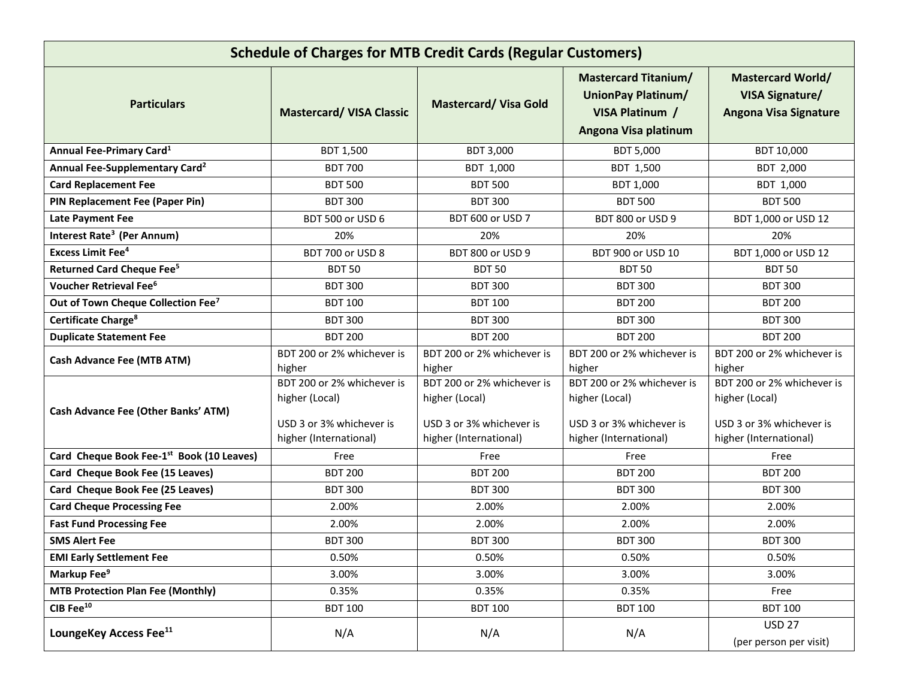| <b>Schedule of Charges for MTB Credit Cards (Regular Customers)</b> |                                                                                                    |                                                                                                    |                                                                                                     |                                                                                                    |  |  |  |
|---------------------------------------------------------------------|----------------------------------------------------------------------------------------------------|----------------------------------------------------------------------------------------------------|-----------------------------------------------------------------------------------------------------|----------------------------------------------------------------------------------------------------|--|--|--|
| <b>Particulars</b>                                                  | <b>Mastercard/ VISA Classic</b>                                                                    | <b>Mastercard/ Visa Gold</b>                                                                       | <b>Mastercard Titanium/</b><br><b>UnionPay Platinum/</b><br>VISA Platinum /<br>Angona Visa platinum | <b>Mastercard World/</b><br><b>VISA Signature/</b><br><b>Angona Visa Signature</b>                 |  |  |  |
| Annual Fee-Primary Card <sup>1</sup>                                | <b>BDT 1,500</b>                                                                                   | <b>BDT 3,000</b>                                                                                   | <b>BDT 5,000</b>                                                                                    | BDT 10,000                                                                                         |  |  |  |
| Annual Fee-Supplementary Card <sup>2</sup>                          | <b>BDT 700</b>                                                                                     | BDT 1,000                                                                                          | BDT 1,500                                                                                           | BDT 2,000                                                                                          |  |  |  |
| <b>Card Replacement Fee</b>                                         | <b>BDT 500</b>                                                                                     | <b>BDT 500</b>                                                                                     | BDT 1,000                                                                                           | BDT 1,000                                                                                          |  |  |  |
| PIN Replacement Fee (Paper Pin)                                     | <b>BDT 300</b>                                                                                     | <b>BDT 300</b>                                                                                     | <b>BDT 500</b>                                                                                      | <b>BDT 500</b>                                                                                     |  |  |  |
| <b>Late Payment Fee</b>                                             | <b>BDT 500 or USD 6</b>                                                                            | BDT 600 or USD 7                                                                                   | <b>BDT 800 or USD 9</b>                                                                             | BDT 1,000 or USD 12                                                                                |  |  |  |
| Interest Rate <sup>3</sup> (Per Annum)                              | 20%                                                                                                | 20%                                                                                                | 20%                                                                                                 | 20%                                                                                                |  |  |  |
| <b>Excess Limit Fee<sup>4</sup></b>                                 | BDT 700 or USD 8                                                                                   | <b>BDT 800 or USD 9</b>                                                                            | BDT 900 or USD 10                                                                                   | BDT 1,000 or USD 12                                                                                |  |  |  |
| <b>Returned Card Cheque Fee<sup>5</sup></b>                         | <b>BDT 50</b>                                                                                      | <b>BDT 50</b>                                                                                      | <b>BDT 50</b>                                                                                       | <b>BDT 50</b>                                                                                      |  |  |  |
| Voucher Retrieval Fee <sup>6</sup>                                  | <b>BDT 300</b>                                                                                     | <b>BDT 300</b>                                                                                     | <b>BDT 300</b>                                                                                      | <b>BDT 300</b>                                                                                     |  |  |  |
| Out of Town Cheque Collection Fee <sup>7</sup>                      | <b>BDT 100</b>                                                                                     | <b>BDT 100</b>                                                                                     | <b>BDT 200</b>                                                                                      | <b>BDT 200</b>                                                                                     |  |  |  |
| Certificate Charge <sup>8</sup>                                     | <b>BDT 300</b>                                                                                     | <b>BDT 300</b>                                                                                     | <b>BDT 300</b>                                                                                      | <b>BDT 300</b>                                                                                     |  |  |  |
| <b>Duplicate Statement Fee</b>                                      | <b>BDT 200</b>                                                                                     | <b>BDT 200</b>                                                                                     | <b>BDT 200</b>                                                                                      | <b>BDT 200</b>                                                                                     |  |  |  |
| <b>Cash Advance Fee (MTB ATM)</b>                                   | BDT 200 or 2% whichever is<br>higher                                                               | BDT 200 or 2% whichever is<br>higher                                                               | BDT 200 or 2% whichever is<br>higher                                                                | BDT 200 or 2% whichever is<br>higher                                                               |  |  |  |
| Cash Advance Fee (Other Banks' ATM)                                 | BDT 200 or 2% whichever is<br>higher (Local)<br>USD 3 or 3% whichever is<br>higher (International) | BDT 200 or 2% whichever is<br>higher (Local)<br>USD 3 or 3% whichever is<br>higher (International) | BDT 200 or 2% whichever is<br>higher (Local)<br>USD 3 or 3% whichever is<br>higher (International)  | BDT 200 or 2% whichever is<br>higher (Local)<br>USD 3 or 3% whichever is<br>higher (International) |  |  |  |
| Card Cheque Book Fee-1st Book (10 Leaves)                           | Free                                                                                               | Free                                                                                               | Free                                                                                                | Free                                                                                               |  |  |  |
| Card Cheque Book Fee (15 Leaves)                                    | <b>BDT 200</b>                                                                                     | <b>BDT 200</b>                                                                                     | <b>BDT 200</b>                                                                                      | <b>BDT 200</b>                                                                                     |  |  |  |
| Card Cheque Book Fee (25 Leaves)                                    | <b>BDT 300</b>                                                                                     | <b>BDT 300</b>                                                                                     | <b>BDT 300</b>                                                                                      | <b>BDT 300</b>                                                                                     |  |  |  |
| <b>Card Cheque Processing Fee</b>                                   | 2.00%                                                                                              | 2.00%                                                                                              | 2.00%                                                                                               | 2.00%                                                                                              |  |  |  |
| <b>Fast Fund Processing Fee</b>                                     | 2.00%                                                                                              | 2.00%                                                                                              | 2.00%                                                                                               | 2.00%                                                                                              |  |  |  |
| <b>SMS Alert Fee</b>                                                | <b>BDT 300</b>                                                                                     | <b>BDT 300</b>                                                                                     | <b>BDT 300</b>                                                                                      | <b>BDT 300</b>                                                                                     |  |  |  |
| <b>EMI Early Settlement Fee</b>                                     | 0.50%                                                                                              | 0.50%                                                                                              | 0.50%                                                                                               | 0.50%                                                                                              |  |  |  |
| Markup Fee <sup>9</sup>                                             | 3.00%                                                                                              | 3.00%                                                                                              | 3.00%                                                                                               | 3.00%                                                                                              |  |  |  |
| <b>MTB Protection Plan Fee (Monthly)</b>                            | 0.35%                                                                                              | 0.35%                                                                                              | 0.35%                                                                                               | Free                                                                                               |  |  |  |
| CIB Fee $^{10}$                                                     | <b>BDT 100</b>                                                                                     | <b>BDT 100</b>                                                                                     | <b>BDT 100</b>                                                                                      | <b>BDT 100</b>                                                                                     |  |  |  |
| LoungeKey Access Fee <sup>11</sup>                                  | N/A                                                                                                | N/A                                                                                                | N/A                                                                                                 | <b>USD 27</b><br>(per person per visit)                                                            |  |  |  |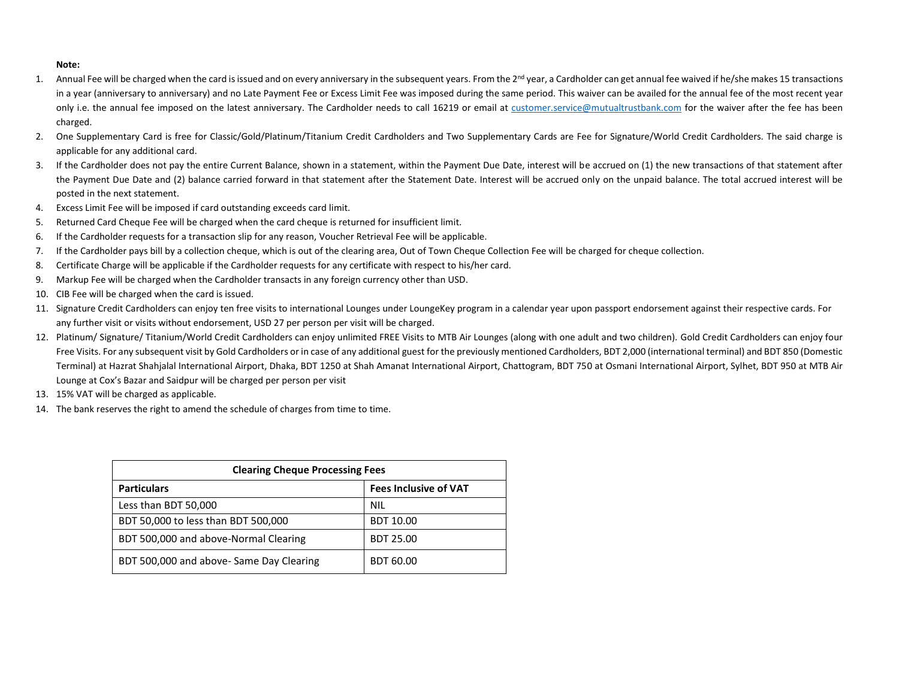## **Note:**

- 1. Annual Fee will be charged when the card is issued and on every anniversary in the subsequent years. From the 2<sup>nd</sup> year, a Cardholder can get annual fee waived if he/she makes 15 transactions in a year (anniversary to anniversary) and no Late Payment Fee or Excess Limit Fee was imposed during the same period. This waiver can be availed for the annual fee of the most recent year only i.e. the annual fee imposed on the latest anniversary. The Cardholder needs to call 16219 or email at [customer.service@mutualtrustbank.com](mailto:customer.service@mutualtrustbank.com) for the waiver after the fee has been charged.
- 2. One Supplementary Card is free for Classic/Gold/Platinum/Titanium Credit Cardholders and Two Supplementary Cards are Fee for Signature/World Credit Cardholders. The said charge is applicable for any additional card.
- 3. If the Cardholder does not pay the entire Current Balance, shown in a statement, within the Payment Due Date, interest will be accrued on (1) the new transactions of that statement after the Payment Due Date and (2) balance carried forward in that statement after the Statement Date. Interest will be accrued only on the unpaid balance. The total accrued interest will be posted in the next statement.
- 4. Excess Limit Fee will be imposed if card outstanding exceeds card limit.
- 5. Returned Card Cheque Fee will be charged when the card cheque is returned for insufficient limit.
- 6. If the Cardholder requests for a transaction slip for any reason, Voucher Retrieval Fee will be applicable.
- 7. If the Cardholder pays bill by a collection cheque, which is out of the clearing area, Out of Town Cheque Collection Fee will be charged for cheque collection.
- 8. Certificate Charge will be applicable if the Cardholder requests for any certificate with respect to his/her card.
- 9. Markup Fee will be charged when the Cardholder transacts in any foreign currency other than USD.
- 10. CIB Fee will be charged when the card is issued.
- 11. Signature Credit Cardholders can enjoy ten free visits to international Lounges under LoungeKey program in a calendar year upon passport endorsement against their respective cards. For any further visit or visits without endorsement, USD 27 per person per visit will be charged.
- 12. Platinum/ Signature/ Titanium/World Credit Cardholders can enjoy unlimited FREE Visits to MTB Air Lounges (along with one adult and two children). Gold Credit Cardholders can enjoy four Free Visits. For any subsequent visit by Gold Cardholders or in case of any additional guest for the previously mentioned Cardholders, BDT 2,000 (international terminal) and BDT 850 (Domestic Terminal) at Hazrat Shahjalal International Airport, Dhaka, BDT 1250 at Shah Amanat International Airport, Chattogram, BDT 750 at Osmani International Airport, Sylhet, BDT 950 at MTB Air Lounge at Cox's Bazar and Saidpur will be charged per person per visit
- 13. 15% VAT will be charged as applicable.
- 14. The bank reserves the right to amend the schedule of charges from time to time.

| <b>Clearing Cheque Processing Fees</b>  |                              |  |  |  |
|-----------------------------------------|------------------------------|--|--|--|
| <b>Particulars</b>                      | <b>Fees Inclusive of VAT</b> |  |  |  |
| Less than BDT 50,000                    | <b>NIL</b>                   |  |  |  |
| BDT 50,000 to less than BDT 500,000     | <b>BDT 10.00</b>             |  |  |  |
| BDT 500,000 and above-Normal Clearing   | <b>BDT 25.00</b>             |  |  |  |
| BDT 500,000 and above-Same Day Clearing | <b>BDT 60.00</b>             |  |  |  |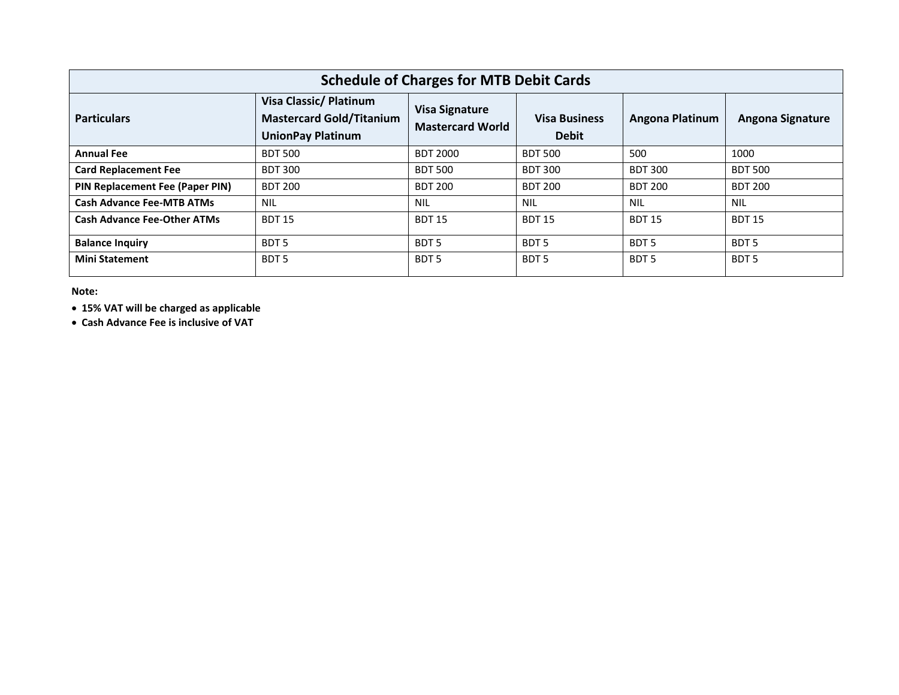| <b>Schedule of Charges for MTB Debit Cards</b> |                                                                                       |                                                  |                                      |                  |                         |  |  |  |
|------------------------------------------------|---------------------------------------------------------------------------------------|--------------------------------------------------|--------------------------------------|------------------|-------------------------|--|--|--|
| <b>Particulars</b>                             | Visa Classic/ Platinum<br><b>Mastercard Gold/Titanium</b><br><b>UnionPay Platinum</b> | <b>Visa Signature</b><br><b>Mastercard World</b> | <b>Visa Business</b><br><b>Debit</b> | Angona Platinum  | <b>Angona Signature</b> |  |  |  |
| <b>Annual Fee</b>                              | <b>BDT 500</b>                                                                        | <b>BDT 2000</b>                                  | <b>BDT 500</b>                       | 500              | 1000                    |  |  |  |
| <b>Card Replacement Fee</b>                    | <b>BDT 300</b>                                                                        | <b>BDT 500</b>                                   | <b>BDT 300</b>                       | <b>BDT 300</b>   | <b>BDT 500</b>          |  |  |  |
| PIN Replacement Fee (Paper PIN)                | <b>BDT 200</b>                                                                        | <b>BDT 200</b>                                   | <b>BDT 200</b>                       | <b>BDT 200</b>   | <b>BDT 200</b>          |  |  |  |
| <b>Cash Advance Fee-MTB ATMs</b>               | <b>NIL</b>                                                                            | <b>NIL</b>                                       | <b>NIL</b>                           | <b>NIL</b>       | <b>NIL</b>              |  |  |  |
| <b>Cash Advance Fee-Other ATMs</b>             | <b>BDT 15</b>                                                                         | <b>BDT 15</b>                                    | <b>BDT 15</b>                        | <b>BDT 15</b>    | <b>BDT 15</b>           |  |  |  |
| <b>Balance Inquiry</b>                         | BDT <sub>5</sub>                                                                      | BDT <sub>5</sub>                                 | BDT <sub>5</sub>                     | BDT <sub>5</sub> | BDT <sub>5</sub>        |  |  |  |
| <b>Mini Statement</b>                          | BDT <sub>5</sub>                                                                      | BDT <sub>5</sub>                                 | BDT <sub>5</sub>                     | BDT <sub>5</sub> | BDT <sub>5</sub>        |  |  |  |

**Note:**

**15% VAT will be charged as applicable**

**Cash Advance Fee is inclusive of VAT**